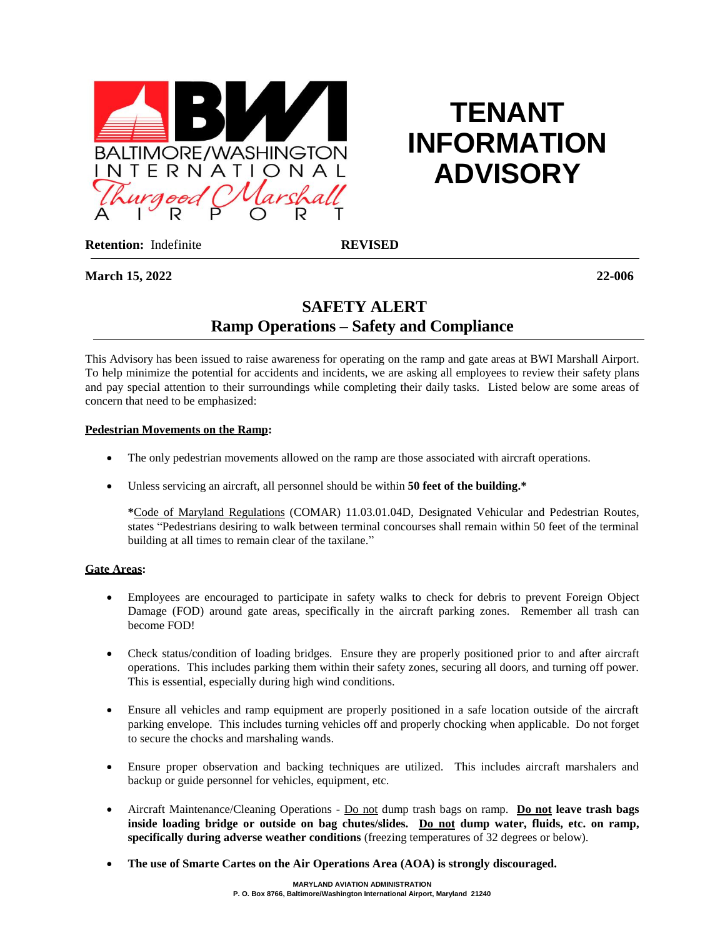

# **TENANT INFORMATION ADVISORY**

**Retention:** Indefinite **REVISED** 

**March 15, 2022 22-006**

# **SAFETY ALERT Ramp Operations – Safety and Compliance**

This Advisory has been issued to raise awareness for operating on the ramp and gate areas at BWI Marshall Airport. To help minimize the potential for accidents and incidents, we are asking all employees to review their safety plans and pay special attention to their surroundings while completing their daily tasks. Listed below are some areas of concern that need to be emphasized:

## **Pedestrian Movements on the Ramp:**

- The only pedestrian movements allowed on the ramp are those associated with aircraft operations.
- Unless servicing an aircraft, all personnel should be within **50 feet of the building.\***

**\***Code of Maryland Regulations (COMAR) 11.03.01.04D, Designated Vehicular and Pedestrian Routes, states "Pedestrians desiring to walk between terminal concourses shall remain within 50 feet of the terminal building at all times to remain clear of the taxilane."

#### **Gate Areas:**

- Employees are encouraged to participate in safety walks to check for debris to prevent Foreign Object Damage (FOD) around gate areas, specifically in the aircraft parking zones. Remember all trash can become FOD!
- Check status/condition of loading bridges. Ensure they are properly positioned prior to and after aircraft operations. This includes parking them within their safety zones, securing all doors, and turning off power. This is essential, especially during high wind conditions.
- Ensure all vehicles and ramp equipment are properly positioned in a safe location outside of the aircraft parking envelope. This includes turning vehicles off and properly chocking when applicable. Do not forget to secure the chocks and marshaling wands.
- Ensure proper observation and backing techniques are utilized. This includes aircraft marshalers and backup or guide personnel for vehicles, equipment, etc.
- Aircraft Maintenance/Cleaning Operations Do not dump trash bags on ramp. **Do not leave trash bags inside loading bridge or outside on bag chutes/slides. Do not dump water, fluids, etc. on ramp, specifically during adverse weather conditions** (freezing temperatures of 32 degrees or below).
- **The use of Smarte Cartes on the Air Operations Area (AOA) is strongly discouraged.**